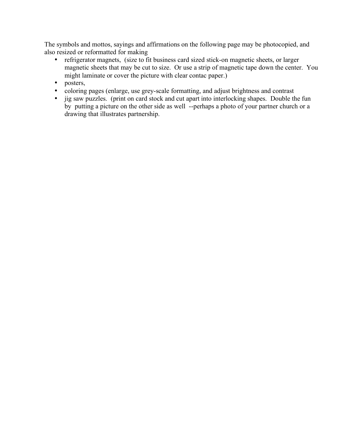The symbols and mottos, sayings and affirmations on the following page may be photocopied, and also resized or reformatted for making

- refrigerator magnets, (size to fit business card sized stick-on magnetic sheets, or larger magnetic sheets that may be cut to size. Or use a strip of magnetic tape down the center. You might laminate or cover the picture with clear contac paper.)
- posters,
- coloring pages (enlarge, use grey-scale formatting, and adjust brightness and contrast
- jig saw puzzles. (print on card stock and cut apart into interlocking shapes. Double the fun by putting a picture on the other side as well --perhaps a photo of your partner church or a drawing that illustrates partnership.